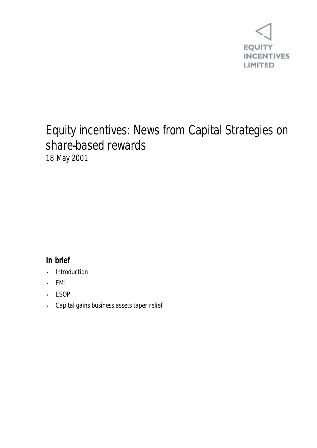

## Equity incentives: News from Capital Strategies on share-based rewards 18 May 2001

## **In brief**

- **Introduction**
- EMI
- ESOP
- Capital gains business assets taper relief